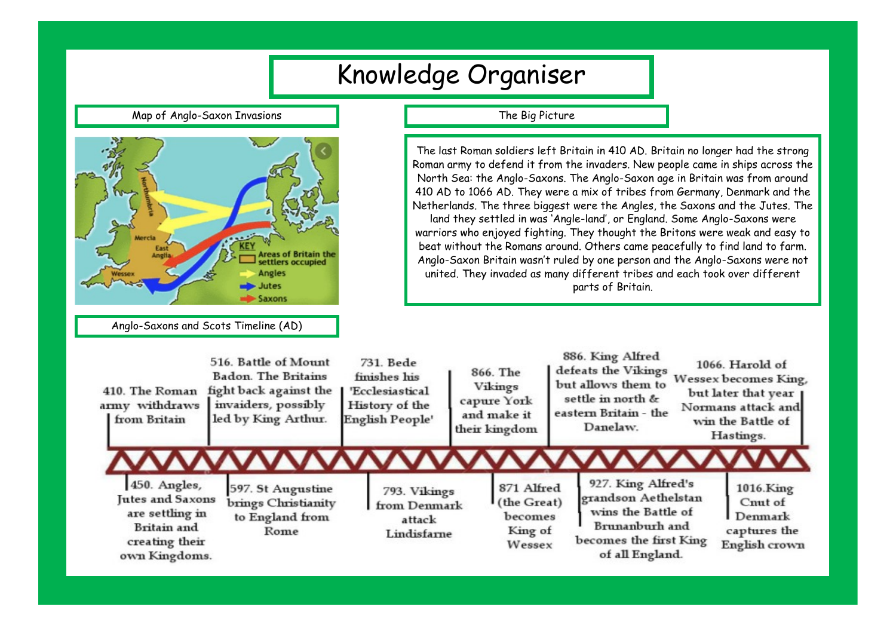| Knowledge Organiser                                                                                                                                                                                                    |                                                                     |                                                                                   |                                                                                                                                                                                                                                                                                                                                                                                                                                                                                                                                                                                                                                                                                                                                                                                                                                                   |                                                                    |                                                           |                                                                                                                                                                                                                                                   |                                                                                                                                |  |                                                                  |  |
|------------------------------------------------------------------------------------------------------------------------------------------------------------------------------------------------------------------------|---------------------------------------------------------------------|-----------------------------------------------------------------------------------|---------------------------------------------------------------------------------------------------------------------------------------------------------------------------------------------------------------------------------------------------------------------------------------------------------------------------------------------------------------------------------------------------------------------------------------------------------------------------------------------------------------------------------------------------------------------------------------------------------------------------------------------------------------------------------------------------------------------------------------------------------------------------------------------------------------------------------------------------|--------------------------------------------------------------------|-----------------------------------------------------------|---------------------------------------------------------------------------------------------------------------------------------------------------------------------------------------------------------------------------------------------------|--------------------------------------------------------------------------------------------------------------------------------|--|------------------------------------------------------------------|--|
| Map of Anglo-Saxon Invasions                                                                                                                                                                                           |                                                                     | The Big Picture                                                                   |                                                                                                                                                                                                                                                                                                                                                                                                                                                                                                                                                                                                                                                                                                                                                                                                                                                   |                                                                    |                                                           |                                                                                                                                                                                                                                                   |                                                                                                                                |  |                                                                  |  |
| Mercia<br>Areas of Britain the<br>settlers occupied<br>Angles<br>lutes<br>Saxons                                                                                                                                       |                                                                     |                                                                                   | The last Roman soldiers left Britain in 410 AD. Britain no longer had the strong<br>Roman army to defend it from the invaders. New people came in ships across the<br>North Sea: the Anglo-Saxons. The Anglo-Saxon age in Britain was from around<br>410 AD to 1066 AD. They were a mix of tribes from Germany, Denmark and the<br>Netherlands. The three biggest were the Angles, the Saxons and the Jutes. The<br>land they settled in was 'Angle-land', or England. Some Anglo-Saxons were<br>warriors who enjoyed fighting. They thought the Britons were weak and easy to<br>beat without the Romans around. Others came peacefully to find land to farm.<br>Anglo-Saxon Britain wasn't ruled by one person and the Anglo-Saxons were not<br>united. They invaded as many different tribes and each took over different<br>parts of Britain. |                                                                    |                                                           |                                                                                                                                                                                                                                                   |                                                                                                                                |  |                                                                  |  |
| Anglo-Saxons and Scots Timeline (AD)<br>516. Battle of Mount<br><b>Badon.</b> The Britains<br>410. The Roman<br>fight back against the<br>invaiders, possibly<br>army withdraws<br>led by King Arthur.<br>from Britain |                                                                     | 731. Bede<br>finishes his<br>'Ecclesiastical<br>History of the<br>English People' |                                                                                                                                                                                                                                                                                                                                                                                                                                                                                                                                                                                                                                                                                                                                                                                                                                                   | 866. The<br>Vikings<br>capure York<br>and make it<br>their kingdom |                                                           | 886. King Alfred<br>1066. Harold of<br>defeats the Vikings<br>Wessex becomes King,<br>but allows them to<br>but later that year<br>settle in north &<br>Normans attack and<br>eastern Britain - the<br>win the Battle of<br>Danelaw.<br>Hastings. |                                                                                                                                |  |                                                                  |  |
| 450. Angles,<br>Jutes and Saxons<br>are settling in<br><b>Britain</b> and<br>creating their<br>own Kingdoms.                                                                                                           | 597. St Augustine<br>brings Christianity<br>to England from<br>Rome |                                                                                   | 793. Vikings<br>from Denmark<br>attack<br>Lindisfarne                                                                                                                                                                                                                                                                                                                                                                                                                                                                                                                                                                                                                                                                                                                                                                                             |                                                                    | 871 Alfred<br>(the Great)<br>becomes<br>King of<br>Wessex |                                                                                                                                                                                                                                                   | 927. King Alfred's<br>grandson Aethelstan<br>wins the Battle of<br>Brunanburh and<br>becomes the first King<br>of all England. |  | 1016.King<br>Cnut of<br>Denmark<br>captures the<br>English crown |  |